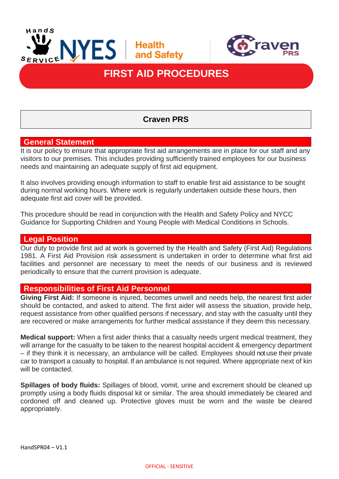



# **FIRST AID PROCEDURES**

# **Craven PRS**

# **General Statement**

l

It is our policy to ensure that appropriate first aid arrangements are in place for our staff and any visitors to our premises. This includes providing sufficiently trained employees for our business needs and maintaining an adequate supply of first aid equipment.

It also involves providing enough information to staff to enable first aid assistance to be sought during normal working hours. Where work is regularly undertaken outside these hours, then adequate first aid cover will be provided.

This procedure should be read in conjunction with the Health and Safety Policy and NYCC Guidance for Supporting Children and Young People with Medical Conditions in Schools.

#### **Legal Position**

Our duty to provide first aid at work is governed by the Health and Safety (First Aid) Regulations 1981. A First Aid Provision risk assessment is undertaken in order to determine what first aid facilities and personnel are necessary to meet the needs of our business and is reviewed periodically to ensure that the current provision is adequate.

#### **Responsibilities of First Aid Personnel**

**Giving First Aid:** If someone is injured, becomes unwell and needs help, the nearest first aider should be contacted, and asked to attend. The first aider will assess the situation, provide help, request assistance from other qualified persons if necessary, and stay with the casualty until they are recovered or make arrangements for further medical assistance if they deem this necessary.

**Medical support:** When a first aider thinks that a casualty needs urgent medical treatment, they will arrange for the casualty to be taken to the nearest hospital accident & emergency department – if they think it is necessary, an ambulance will be called. Employees should not use their private car to transport a casualty to hospital. If an ambulance is not required. Where appropriate next of kin will be contacted.

**Spillages of body fluids:** Spillages of blood, vomit, urine and excrement should be cleaned up promptly using a body fluids disposal kit or similar. The area should immediately be cleared and cordoned off and cleaned up. Protective gloves must be worn and the waste be cleared appropriately.